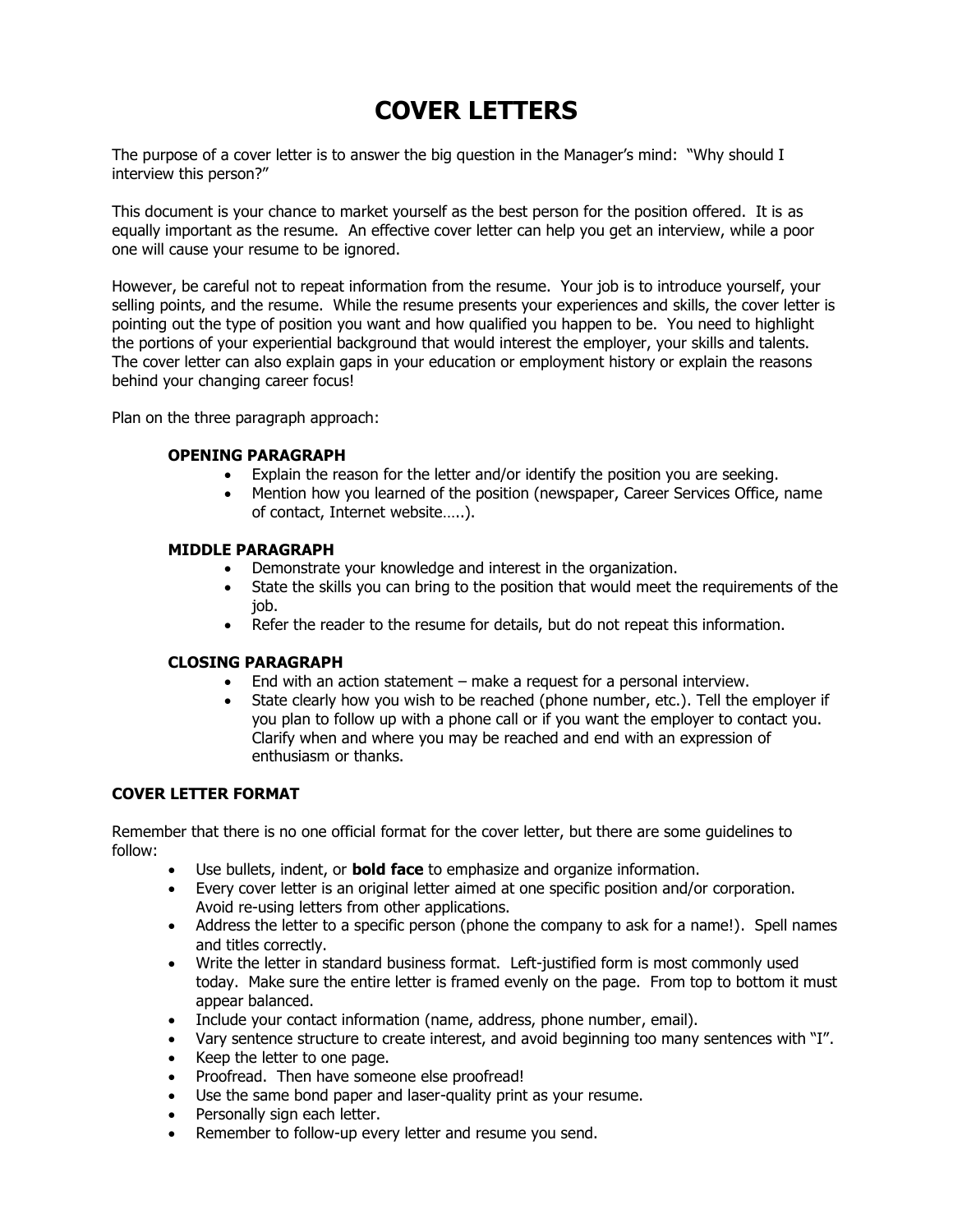# **COVER LETTERS**

The purpose of a cover letter is to answer the big question in the Manager's mind: "Why should I interview this person?"

This document is your chance to market yourself as the best person for the position offered. It is as equally important as the resume. An effective cover letter can help you get an interview, while a poor one will cause your resume to be ignored.

However, be careful not to repeat information from the resume. Your job is to introduce yourself, your selling points, and the resume. While the resume presents your experiences and skills, the cover letter is pointing out the type of position you want and how qualified you happen to be. You need to highlight the portions of your experiential background that would interest the employer, your skills and talents. The cover letter can also explain gaps in your education or employment history or explain the reasons behind your changing career focus!

Plan on the three paragraph approach:

#### **OPENING PARAGRAPH**

- Explain the reason for the letter and/or identify the position you are seeking.
- Mention how you learned of the position (newspaper, Career Services Office, name of contact, Internet website…..).

#### **MIDDLE PARAGRAPH**

- Demonstrate your knowledge and interest in the organization.
- State the skills you can bring to the position that would meet the requirements of the job.
- Refer the reader to the resume for details, but do not repeat this information.

#### **CLOSING PARAGRAPH**

- End with an action statement make a request for a personal interview.
- State clearly how you wish to be reached (phone number, etc.). Tell the employer if you plan to follow up with a phone call or if you want the employer to contact you. Clarify when and where you may be reached and end with an expression of enthusiasm or thanks.

#### **COVER LETTER FORMAT**

Remember that there is no one official format for the cover letter, but there are some guidelines to follow:

- Use bullets, indent, or **bold face** to emphasize and organize information.
- Every cover letter is an original letter aimed at one specific position and/or corporation. Avoid re-using letters from other applications.
- Address the letter to a specific person (phone the company to ask for a name!). Spell names and titles correctly.
- Write the letter in standard business format. Left-justified form is most commonly used today. Make sure the entire letter is framed evenly on the page. From top to bottom it must appear balanced.
- Include your contact information (name, address, phone number, email).
- Vary sentence structure to create interest, and avoid beginning too many sentences with "I".
- Keep the letter to one page.
- Proofread. Then have someone else proofread!
- Use the same bond paper and laser-quality print as your resume.
- Personally sign each letter.
- Remember to follow-up every letter and resume you send.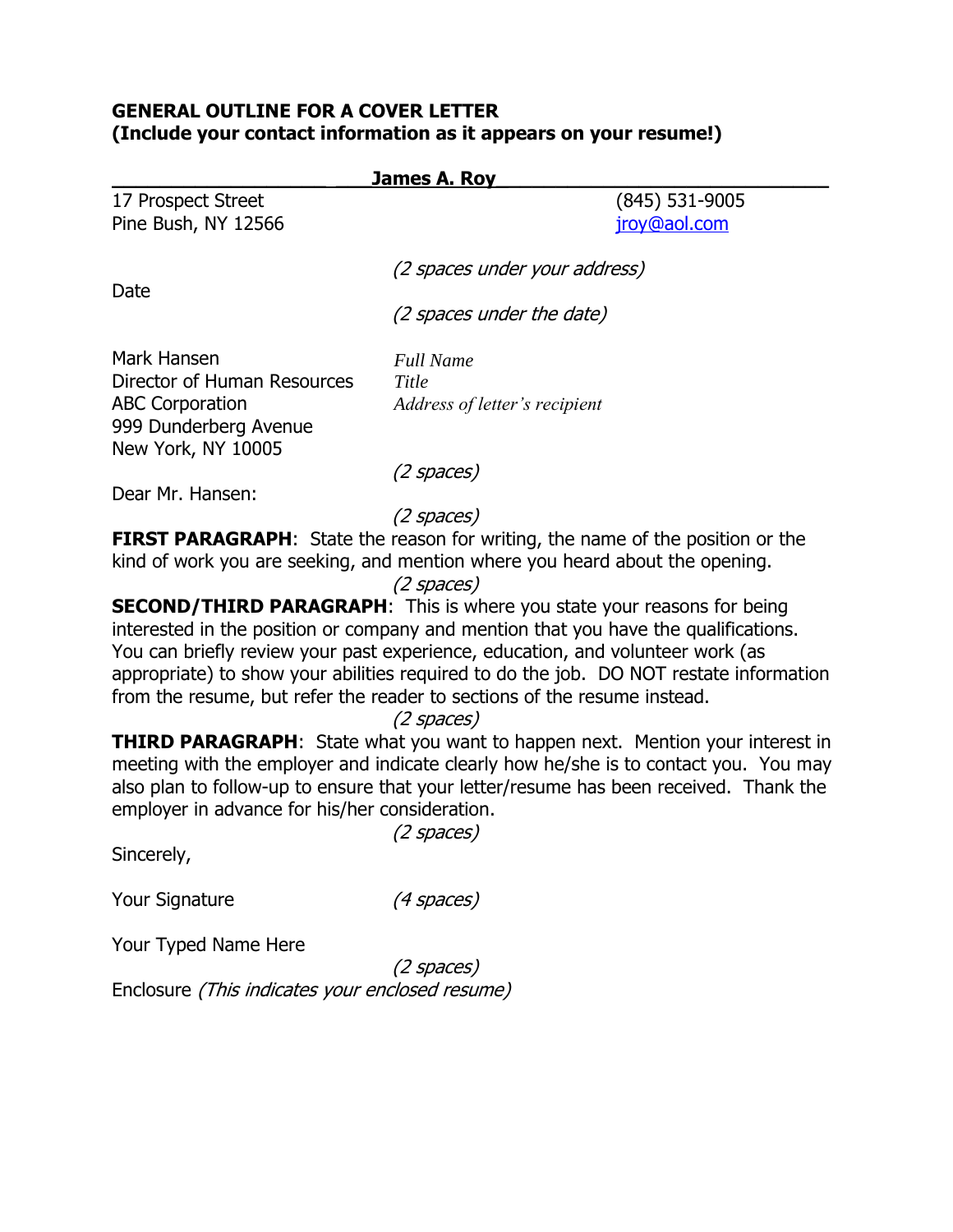## **GENERAL OUTLINE FOR A COVER LETTER (Include your contact information as it appears on your resume!)**

| <b>James A. Roy</b>                            |                                                                                                                                                                    |
|------------------------------------------------|--------------------------------------------------------------------------------------------------------------------------------------------------------------------|
| 17 Prospect Street<br>Pine Bush, NY 12566      | (845) 531-9005<br>jroy@aol.com                                                                                                                                     |
| Date                                           | (2 spaces under your address)                                                                                                                                      |
|                                                | (2 spaces under the date)                                                                                                                                          |
| Mark Hansen                                    | <b>Full Name</b>                                                                                                                                                   |
| Director of Human Resources                    | Title                                                                                                                                                              |
| <b>ABC Corporation</b>                         | Address of letter's recipient                                                                                                                                      |
| 999 Dunderberg Avenue                          |                                                                                                                                                                    |
| New York, NY 10005                             |                                                                                                                                                                    |
| Dear Mr. Hansen:                               | (2 spaces)                                                                                                                                                         |
|                                                | (2 spaces)                                                                                                                                                         |
|                                                | <b>FIRST PARAGRAPH:</b> State the reason for writing, the name of the position or the                                                                              |
|                                                | kind of work you are seeking, and mention where you heard about the opening.                                                                                       |
|                                                | (2 spaces)                                                                                                                                                         |
|                                                | <b>SECOND/THIRD PARAGRAPH:</b> This is where you state your reasons for being                                                                                      |
|                                                | interested in the position or company and mention that you have the qualifications.                                                                                |
|                                                | You can briefly review your past experience, education, and volunteer work (as                                                                                     |
|                                                | appropriate) to show your abilities required to do the job. DO NOT restate information<br>from the resume, but refer the reader to sections of the resume instead. |
|                                                | (2 spaces)                                                                                                                                                         |
|                                                | <b>THIRD PARAGRAPH:</b> State what you want to happen next. Mention your interest in                                                                               |
|                                                | meeting with the employer and indicate clearly how he/she is to contact you. You may                                                                               |
|                                                | also plan to follow-up to ensure that your letter/resume has been received. Thank the                                                                              |
| employer in advance for his/her consideration. |                                                                                                                                                                    |
|                                                | (2 spaces)                                                                                                                                                         |
| Sincerely,                                     |                                                                                                                                                                    |
| <b>Your Signature</b>                          | (4 spaces)                                                                                                                                                         |

Your Typed Name Here

(2 spaces) Enclosure *(This indicates your enclosed resume)*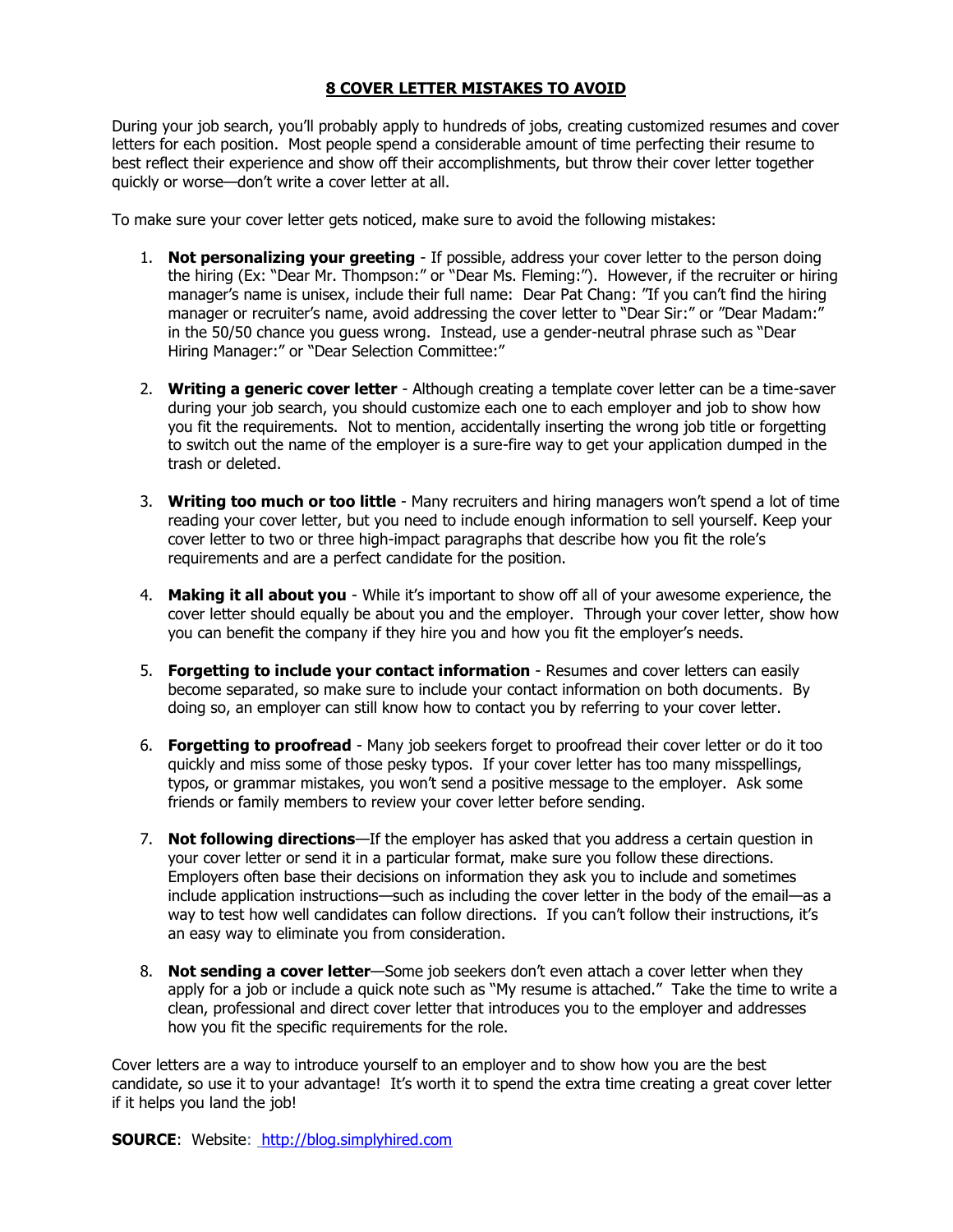#### **8 COVER LETTER MISTAKES TO AVOID**

During your job search, you'll probably apply to hundreds of jobs, creating customized resumes and cover letters for each position. Most people spend a considerable amount of time perfecting their resume to best reflect their experience and show off their accomplishments, but throw their cover letter together quickly or worse—don't write a cover letter at all.

To make sure your cover letter gets noticed, make sure to avoid the following mistakes:

- 1. **Not personalizing your greeting** If possible, address your cover letter to the person doing the hiring (Ex: "Dear Mr. Thompson:" or "Dear Ms. Fleming:"). However, if the recruiter or hiring manager's name is unisex, include their full name: Dear Pat Chang: "If you can't find the hiring manager or recruiter's name, avoid addressing the cover letter to "Dear Sir:" or "Dear Madam:" in the 50/50 chance you guess wrong. Instead, use a gender-neutral phrase such as "Dear Hiring Manager:" or "Dear Selection Committee:"
- 2. **Writing a generic cover letter** Although creating a template cover letter can be a time-saver during your job search, you should customize each one to each employer and job to show how you fit the requirements. Not to mention, accidentally inserting the wrong job title or forgetting to switch out the name of the employer is a sure-fire way to get your application dumped in the trash or deleted.
- 3. **Writing too much or too little** Many recruiters and hiring managers won't spend a lot of time reading your cover letter, but you need to include enough information to sell yourself. Keep your cover letter to two or three high-impact paragraphs that describe how you fit the role's requirements and are a perfect candidate for the position.
- 4. **Making it all about you** While it's important to show off all of your awesome experience, the cover letter should equally be about you and the employer. Through your cover letter, show how you can benefit the company if they hire you and how you fit the employer's needs.
- 5. **Forgetting to include your contact information** Resumes and cover letters can easily become separated, so make sure to include your contact information on both documents. By doing so, an employer can still know how to contact you by referring to your cover letter.
- 6. **Forgetting to proofread** Many job seekers forget to proofread their cover letter or do it too quickly and miss some of those pesky typos. If your cover letter has too many misspellings, typos, or grammar mistakes, you won't send a positive message to the employer. Ask some friends or family members to review your cover letter before sending.
- 7. **Not following directions**—If the employer has asked that you address a certain question in your cover letter or send it in a particular format, make sure you follow these directions. Employers often base their decisions on information they ask you to include and sometimes include application instructions—such as including the cover letter in the body of the email—as a way to test how well candidates can follow directions. If you can't follow their instructions, it's an easy way to eliminate you from consideration.
- 8. **Not sending a cover letter**—Some job seekers don't even attach a cover letter when they apply for a job or include a quick note such as "My resume is attached." Take the time to write a clean, professional and direct cover letter that introduces you to the employer and addresses how you fit the specific requirements for the role.

Cover letters are a way to introduce yourself to an employer and to show how you are the best candidate, so use it to your advantage! It's worth it to spend the extra time creating a great cover letter if it helps you land the job!

**SOURCE**: Website: [http://blog.simplyhired.com](http://blog.simplyhired.com/)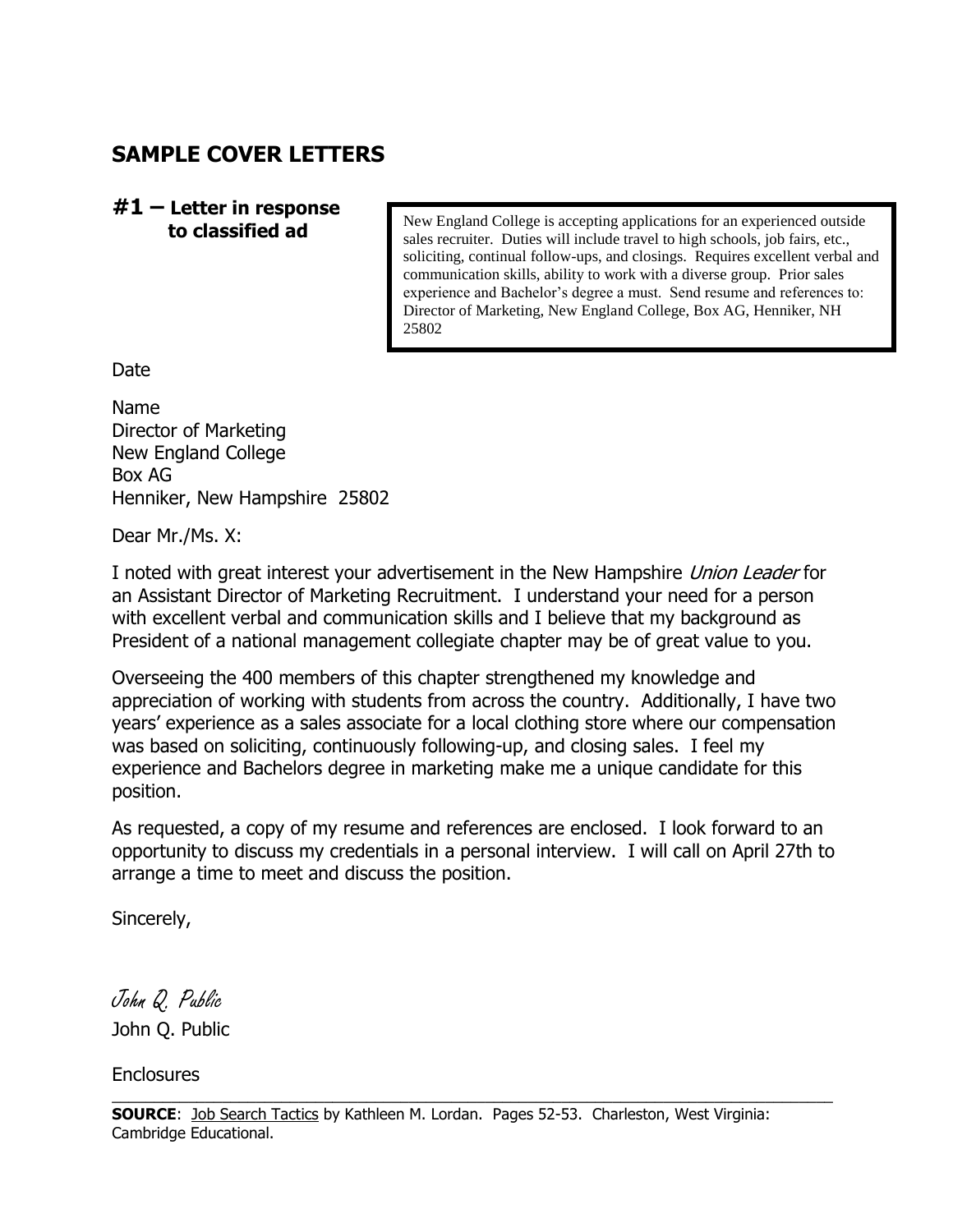# **SAMPLE COVER LETTERS**

**#1 – Letter in response to classified ad**

New England College is accepting applications for an experienced outside sales recruiter. Duties will include travel to high schools, job fairs, etc., soliciting, continual follow-ups, and closings. Requires excellent verbal and communication skills, ability to work with a diverse group. Prior sales experience and Bachelor's degree a must. Send resume and references to: Director of Marketing, New England College, Box AG, Henniker, NH 25802

Date

Name Director of Marketing New England College Box AG Henniker, New Hampshire 25802

Dear Mr./Ms. X:

I noted with great interest your advertisement in the New Hampshire Union Leader for an Assistant Director of Marketing Recruitment. I understand your need for a person with excellent verbal and communication skills and I believe that my background as President of a national management collegiate chapter may be of great value to you.

Overseeing the 400 members of this chapter strengthened my knowledge and appreciation of working with students from across the country. Additionally, I have two years' experience as a sales associate for a local clothing store where our compensation was based on soliciting, continuously following-up, and closing sales. I feel my experience and Bachelors degree in marketing make me a unique candidate for this position.

As requested, a copy of my resume and references are enclosed. I look forward to an opportunity to discuss my credentials in a personal interview. I will call on April 27th to arrange a time to meet and discuss the position.

Sincerely,

John Q. Public John Q. Public

**Enclosures** 

 $\_$  ,  $\_$  ,  $\_$  ,  $\_$  ,  $\_$  ,  $\_$  ,  $\_$  ,  $\_$  ,  $\_$  ,  $\_$  ,  $\_$  ,  $\_$  ,  $\_$  ,  $\_$  ,  $\_$  ,  $\_$  ,  $\_$  ,  $\_$  ,  $\_$  ,  $\_$  ,  $\_$  ,  $\_$  ,  $\_$  ,  $\_$  ,  $\_$  ,  $\_$  ,  $\_$  ,  $\_$  ,  $\_$  ,  $\_$  ,  $\_$  ,  $\_$  ,  $\_$  ,  $\_$  ,  $\_$  ,  $\_$  ,  $\_$  ,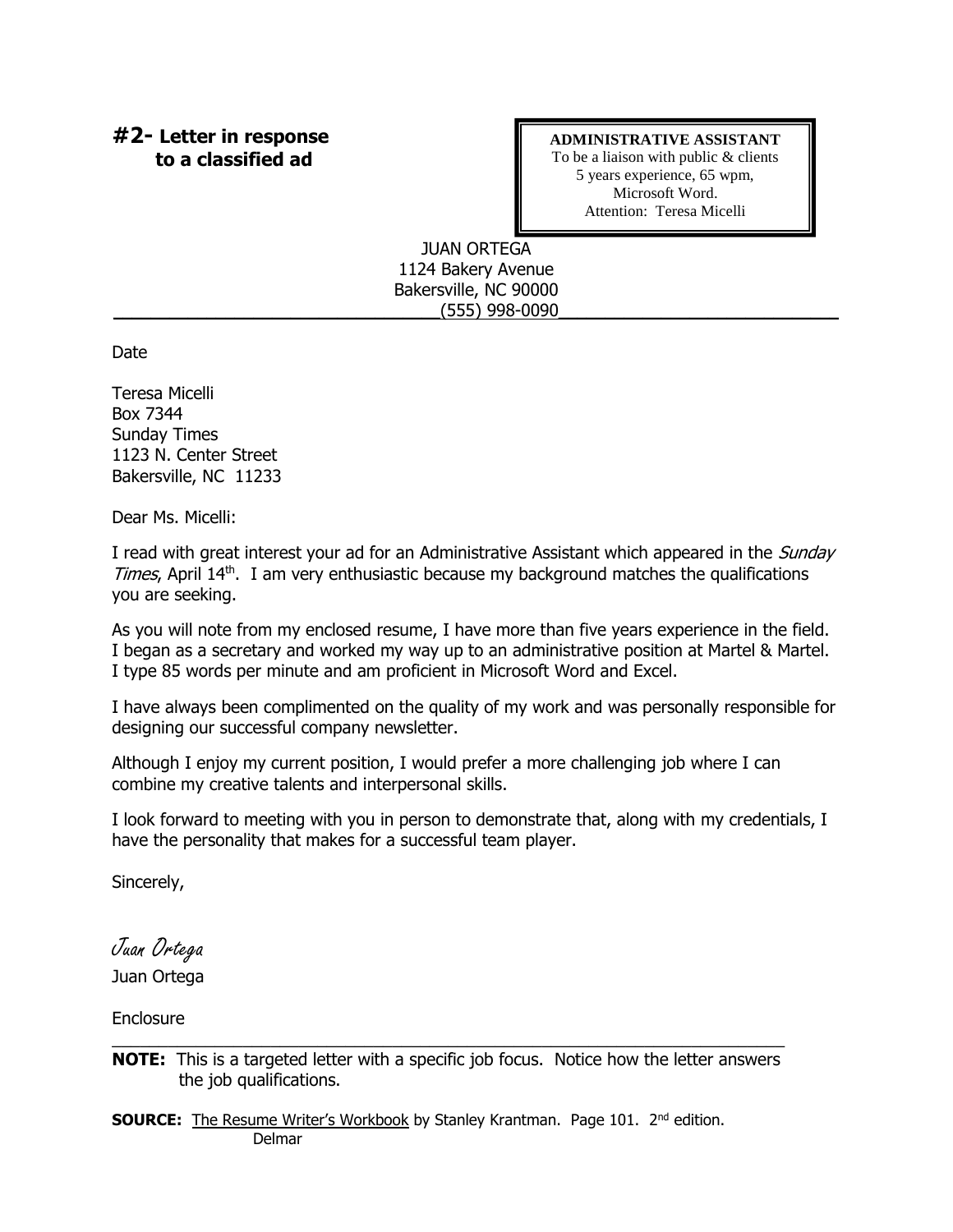### **#2- Letter in response to a classified ad**

#### **ADMINISTRATIVE ASSISTANT**

To be a liaison with public & clients 5 years experience, 65 wpm, Microsoft Word. Attention: Teresa Micelli

#### JUAN ORTEGA 1124 Bakery Avenue Bakersville, NC 90000 \_\_\_\_\_\_\_\_\_\_\_\_\_\_\_\_\_\_\_\_\_\_\_\_\_\_\_\_\_\_\_\_\_\_\_(555) 998-0090\_\_\_\_\_\_\_\_\_\_\_\_\_\_\_\_\_\_\_\_\_\_\_\_\_\_\_\_\_\_

Date

Teresa Micelli Box 7344 Sunday Times 1123 N. Center Street Bakersville, NC 11233

Dear Ms. Micelli:

I read with great interest your ad for an Administrative Assistant which appeared in the *Sunday* Times, April 14<sup>th</sup>. I am very enthusiastic because my background matches the qualifications you are seeking.

As you will note from my enclosed resume, I have more than five years experience in the field. I began as a secretary and worked my way up to an administrative position at Martel & Martel. I type 85 words per minute and am proficient in Microsoft Word and Excel.

I have always been complimented on the quality of my work and was personally responsible for designing our successful company newsletter.

Although I enjoy my current position, I would prefer a more challenging job where I can combine my creative talents and interpersonal skills.

I look forward to meeting with you in person to demonstrate that, along with my credentials, I have the personality that makes for a successful team player.

Sincerely,

Juan Ortega Juan Ortega

**Enclosure** 

**SOURCE:** The Resume Writer's Workbook by Stanley Krantman. Page 101. 2<sup>nd</sup> edition. Delmar

 $\_$  , and the set of the set of the set of the set of the set of the set of the set of the set of the set of the set of the set of the set of the set of the set of the set of the set of the set of the set of the set of th **NOTE:** This is a targeted letter with a specific job focus. Notice how the letter answers the job qualifications.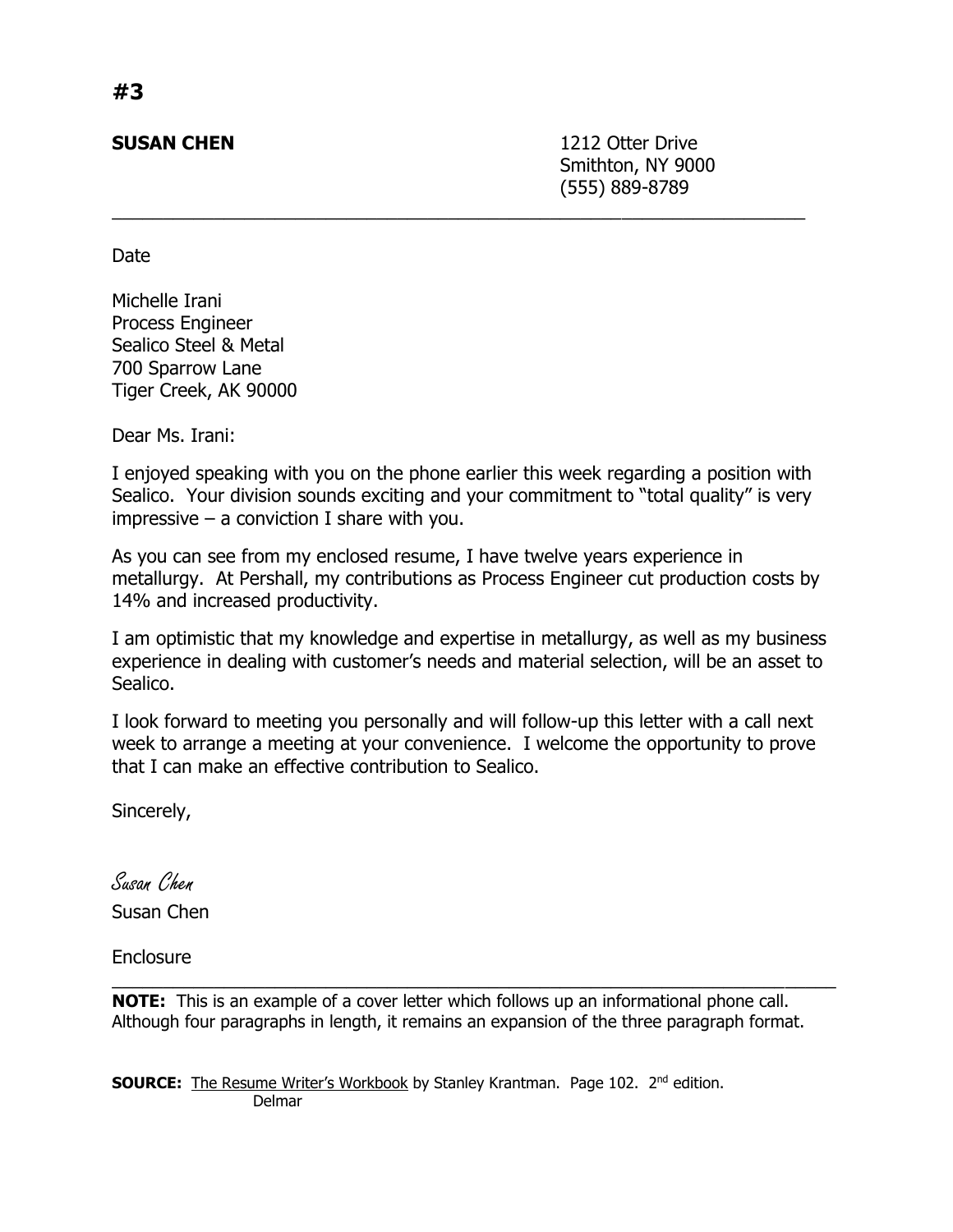**SUSAN CHEN** 2212 Otter Drive Smithton, NY 9000 (555) 889-8789

Date

Michelle Irani Process Engineer Sealico Steel & Metal 700 Sparrow Lane Tiger Creek, AK 90000

Dear Ms. Irani:

I enjoyed speaking with you on the phone earlier this week regarding a position with Sealico. Your division sounds exciting and your commitment to "total quality" is very  $impressive - a$  conviction I share with you.

 $\overline{a_1}$  ,  $\overline{a_2}$  ,  $\overline{a_3}$  ,  $\overline{a_4}$  ,  $\overline{a_5}$  ,  $\overline{a_6}$  ,  $\overline{a_7}$  ,  $\overline{a_8}$  ,  $\overline{a_9}$  ,  $\overline{a_9}$  ,  $\overline{a_9}$  ,  $\overline{a_9}$  ,  $\overline{a_9}$  ,  $\overline{a_9}$  ,  $\overline{a_9}$  ,  $\overline{a_9}$  ,  $\overline{a_9}$  ,

As you can see from my enclosed resume, I have twelve years experience in metallurgy. At Pershall, my contributions as Process Engineer cut production costs by 14% and increased productivity.

I am optimistic that my knowledge and expertise in metallurgy, as well as my business experience in dealing with customer's needs and material selection, will be an asset to Sealico.

I look forward to meeting you personally and will follow-up this letter with a call next week to arrange a meeting at your convenience. I welcome the opportunity to prove that I can make an effective contribution to Sealico.

Sincerely,

Susan Chen Susan Chen

**Enclosure** 

**NOTE:** This is an example of a cover letter which follows up an informational phone call. Although four paragraphs in length, it remains an expansion of the three paragraph format.

 $\mathcal{L}_\text{max}$  , and the contribution of the contribution of the contribution of the contribution of the contribution of the contribution of the contribution of the contribution of the contribution of the contribution of t

**SOURCE:** The Resume Writer's Workbook by Stanley Krantman. Page 102. 2<sup>nd</sup> edition. Delmar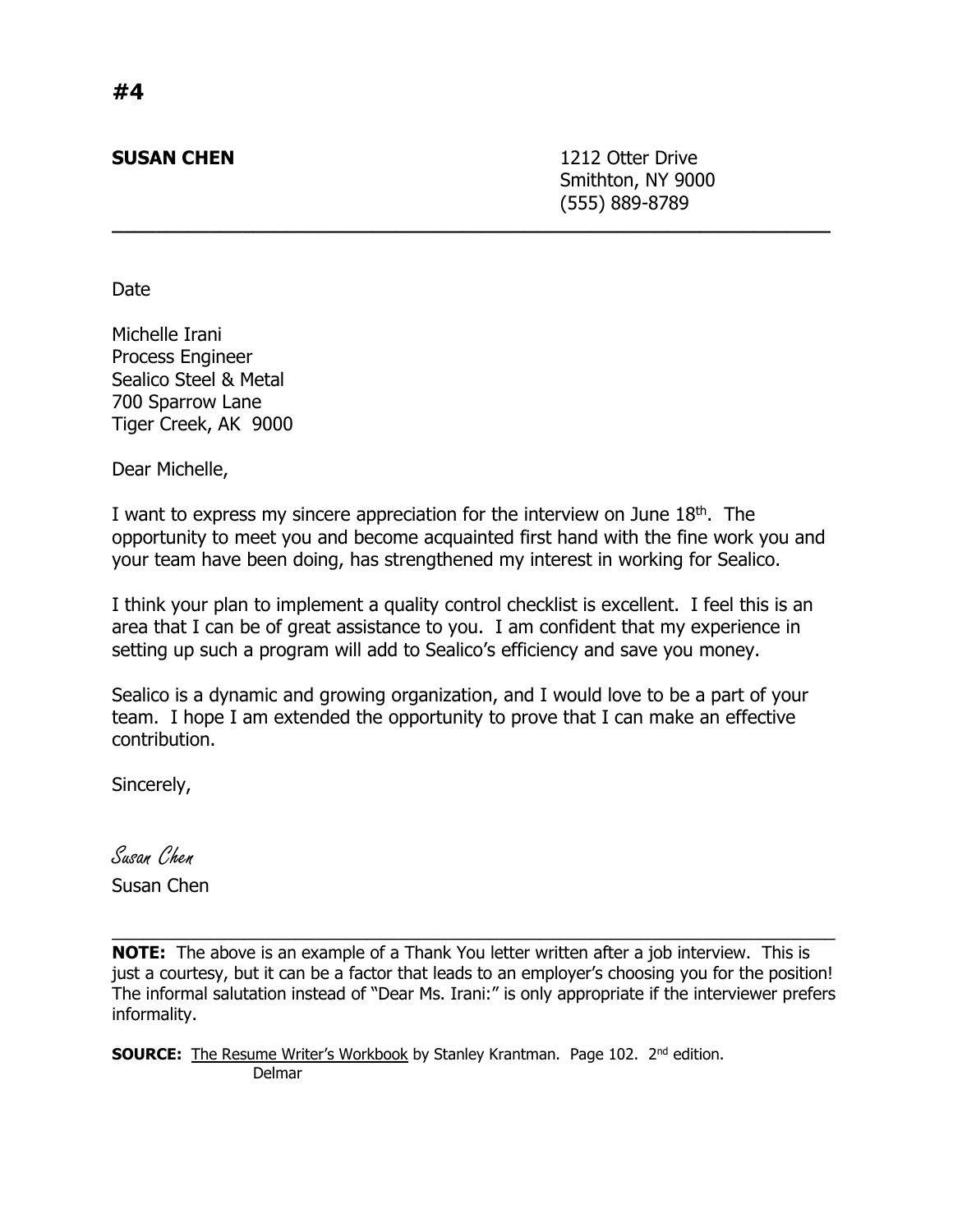**SUSAN CHEN** 1212 Otter Drive Smithton, NY 9000 (555) 889-8789

Date

Michelle Irani Process Engineer Sealico Steel & Metal 700 Sparrow Lane Tiger Creek, AK 9000

Dear Michelle,

I want to express my sincere appreciation for the interview on June 18<sup>th</sup>. The opportunity to meet you and become acquainted first hand with the fine work you and your team have been doing, has strengthened my interest in working for Sealico.

**\_\_\_\_\_\_\_\_\_\_\_\_\_\_\_\_\_\_\_\_\_\_\_\_\_\_\_\_\_\_\_\_\_\_\_\_\_\_\_\_\_\_\_\_\_\_\_\_\_\_\_\_\_\_\_\_\_\_\_\_\_\_\_\_\_\_**

I think your plan to implement a quality control checklist is excellent. I feel this is an area that I can be of great assistance to you. I am confident that my experience in setting up such a program will add to Sealico's efficiency and save you money.

Sealico is a dynamic and growing organization, and I would love to be a part of your team. I hope I am extended the opportunity to prove that I can make an effective contribution.

Sincerely,

Susan Chen

Susan Chen

**NOTE:** The above is an example of a Thank You letter written after a job interview. This is just a courtesy, but it can be a factor that leads to an employer's choosing you for the position! The informal salutation instead of "Dear Ms. Irani:" is only appropriate if the interviewer prefers informality.

\_\_\_\_\_\_\_\_\_\_\_\_\_\_\_\_\_\_\_\_\_\_\_\_\_\_\_\_\_\_\_\_\_\_\_\_\_\_\_\_\_\_\_\_\_\_\_\_\_\_\_\_\_\_\_\_\_\_\_\_\_\_\_\_\_\_\_\_\_\_\_

**SOURCE:** The Resume Writer's Workbook by Stanley Krantman. Page 102. 2<sup>nd</sup> edition. Delmar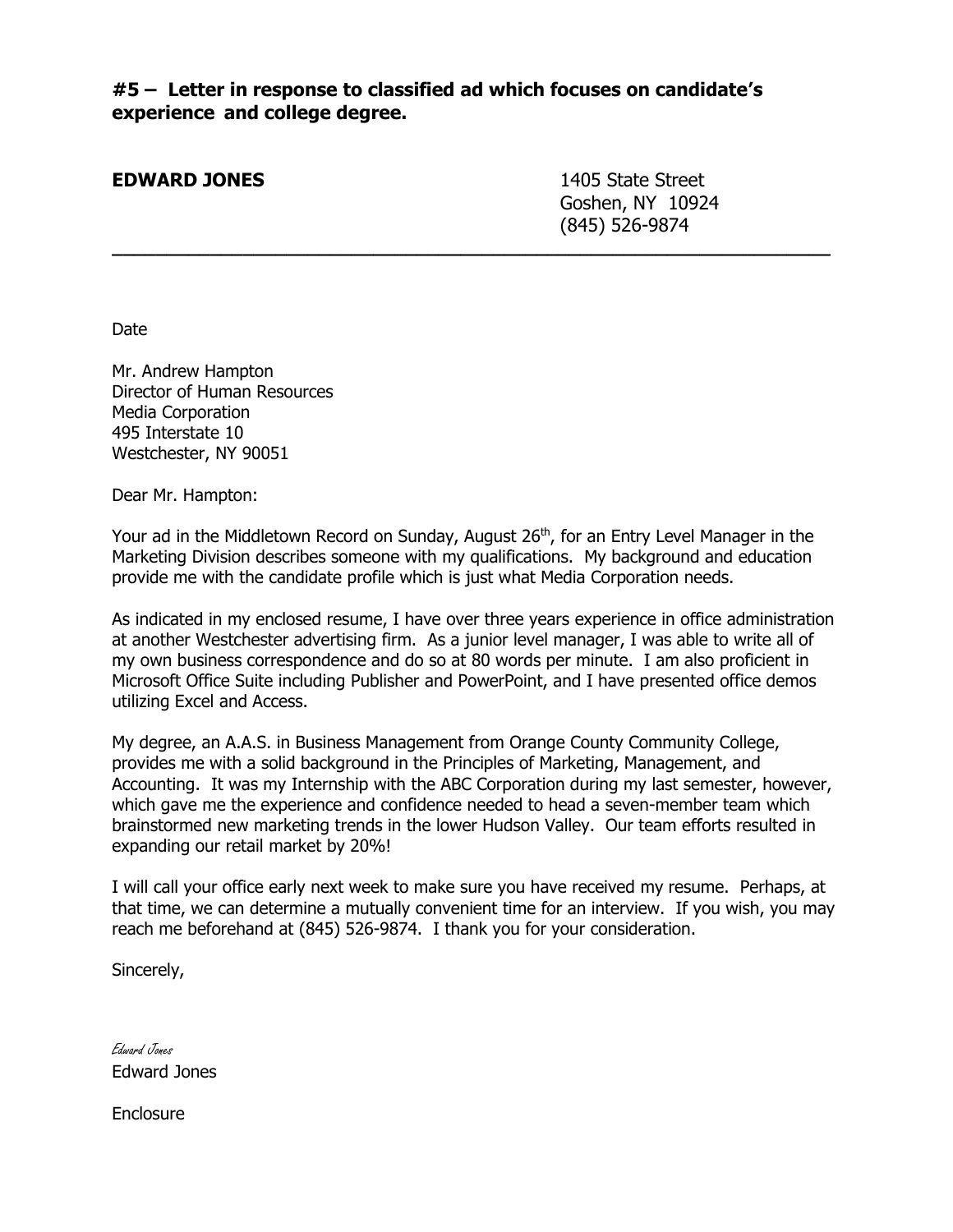**#5 – Letter in response to classified ad which focuses on candidate's experience and college degree.**

**\_\_\_\_\_\_\_\_\_\_\_\_\_\_\_\_\_\_\_\_\_\_\_\_\_\_\_\_\_\_\_\_\_\_\_\_\_\_\_\_\_\_\_\_\_\_\_\_\_\_\_\_\_\_\_\_\_\_\_\_\_\_\_\_\_\_**

#### **EDWARD JONES** 1405 State Street

Goshen, NY 10924 (845) 526-9874

Date

Mr. Andrew Hampton Director of Human Resources Media Corporation 495 Interstate 10 Westchester, NY 90051

Dear Mr. Hampton:

Your ad in the Middletown Record on Sunday, August 26<sup>th</sup>, for an Entry Level Manager in the Marketing Division describes someone with my qualifications. My background and education provide me with the candidate profile which is just what Media Corporation needs.

As indicated in my enclosed resume, I have over three years experience in office administration at another Westchester advertising firm. As a junior level manager, I was able to write all of my own business correspondence and do so at 80 words per minute. I am also proficient in Microsoft Office Suite including Publisher and PowerPoint, and I have presented office demos utilizing Excel and Access.

My degree, an A.A.S. in Business Management from Orange County Community College, provides me with a solid background in the Principles of Marketing, Management, and Accounting. It was my Internship with the ABC Corporation during my last semester, however, which gave me the experience and confidence needed to head a seven-member team which brainstormed new marketing trends in the lower Hudson Valley. Our team efforts resulted in expanding our retail market by 20%!

I will call your office early next week to make sure you have received my resume. Perhaps, at that time, we can determine a mutually convenient time for an interview. If you wish, you may reach me beforehand at (845) 526-9874. I thank you for your consideration.

Sincerely,

Edward Jones Edward Jones

**Enclosure**